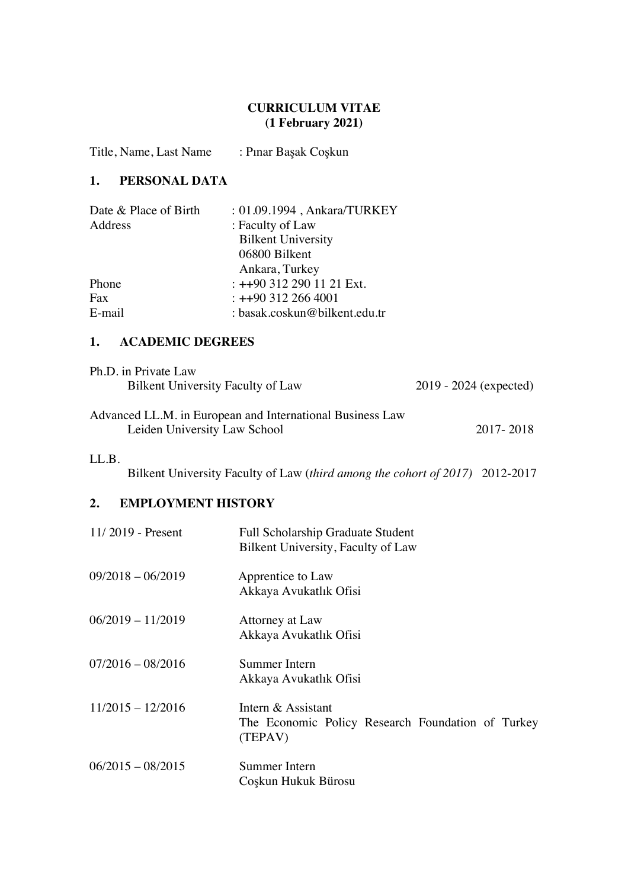#### **CURRICULUM VITAE (1 February 2021)**

Title, Name, Last Name : Pınar Başak Coşkun

### **1. PERSONAL DATA**

| Date & Place of Birth | : 01.09.1994, Ankara/TURKEY   |
|-----------------------|-------------------------------|
| Address               | : Faculty of Law              |
|                       | <b>Bilkent University</b>     |
|                       | 06800 Bilkent                 |
|                       | Ankara, Turkey                |
| Phone                 | $: ++90$ 312 290 11 21 Ext.   |
| Fax                   | $\div$ ++90 312 266 4001      |
| E-mail                | : basak.coskun@bilkent.edu.tr |

#### **1. ACADEMIC DEGREES**

| Ph.D. in Private Law              |                          |
|-----------------------------------|--------------------------|
| Bilkent University Faculty of Law | $2019 - 2024$ (expected) |

| Advanced LL.M. in European and International Business Law |           |
|-----------------------------------------------------------|-----------|
| Leiden University Law School                              | 2017-2018 |

#### LL.B.

Bilkent University Faculty of Law (*third among the cohort of 2017)*2012-2017

## **2. EMPLOYMENT HISTORY**

| $11/2019$ - Present | <b>Full Scholarship Graduate Student</b><br>Bilkent University, Faculty of Law     |
|---------------------|------------------------------------------------------------------------------------|
| $09/2018 - 06/2019$ | Apprentice to Law<br>Akkaya Avukatlık Ofisi                                        |
| $06/2019 - 11/2019$ | Attorney at Law<br>Akkaya Avukatlık Ofisi                                          |
| $07/2016 - 08/2016$ | Summer Intern<br>Akkaya Avukatlık Ofisi                                            |
| $11/2015 - 12/2016$ | Intern & Assistant<br>The Economic Policy Research Foundation of Turkey<br>(TEPAV) |
| $06/2015 - 08/2015$ | Summer Intern<br>Coşkun Hukuk Bürosu                                               |